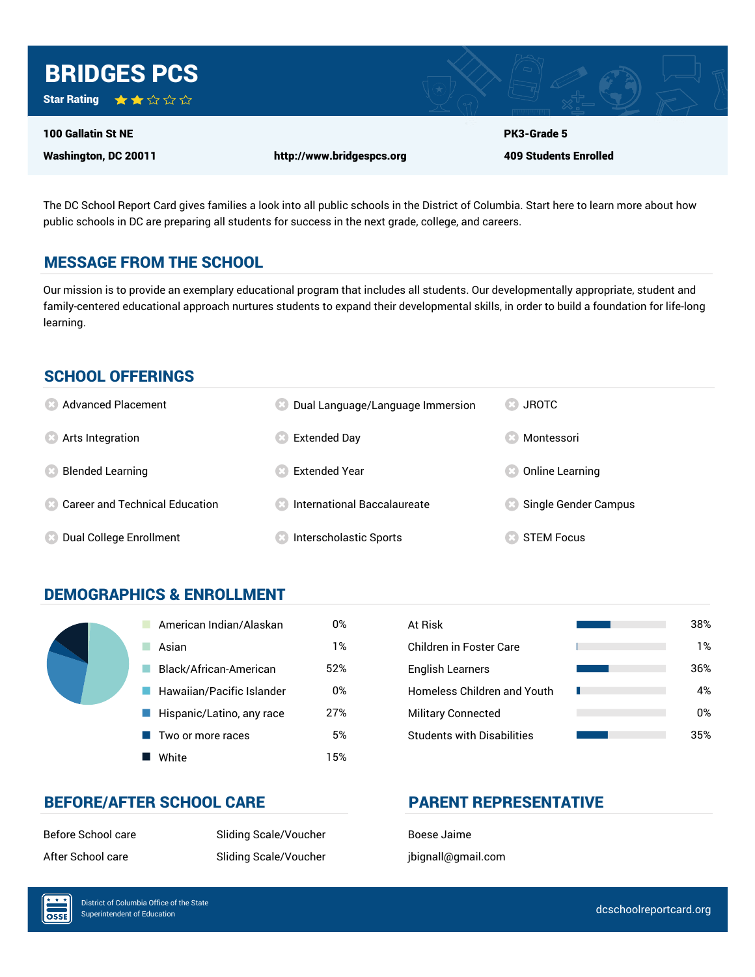

The DC School Report Card gives families a look into all public schools in the District of Columbia. Start here to learn more about how public schools in DC are preparing all students for success in the next grade, college, and careers.

### MESSAGE FROM THE SCHOOL

Our mission is to provide an exemplary educational program that includes all students. Our developmentally appropriate, student and family-centered educational approach nurtures students to expand their developmental skills, in order to build a foundation for life-long learning.

#### SCHOOL OFFERINGS

| <b>8</b> Advanced Placement                        | Dual Language/Language Immersion | <b>83 JROTC</b>      |
|----------------------------------------------------|----------------------------------|----------------------|
| <b>8</b> Arts Integration                          | Extended Day                     | Montessori           |
| <b>Blended Learning</b>                            | <b>Extended Year</b>             | Online Learning      |
| <b>Confidential Career and Technical Education</b> | International Baccalaureate      | Single Gender Campus |
| <b>8</b> Dual College Enrollment                   | Interscholastic Sports           | <b>STEM Focus</b>    |

# DEMOGRAPHICS & ENROLLMENT

| American Indian/Alaskan                  | 0%  | At Risk                            |
|------------------------------------------|-----|------------------------------------|
| Asian                                    | 1%  | <b>Children in Foster Care</b>     |
| Black/African-American                   | 52% | <b>English Learners</b>            |
| Hawaiian/Pacific Islander                | 0%  | <b>Homeless Children and Youth</b> |
| $\blacksquare$ Hispanic/Latino, any race | 27% | <b>Military Connected</b>          |
| Two or more races                        | 5%  | <b>Students with Disabilities</b>  |
| White                                    | 15% |                                    |

| At Risk                            | 38% |
|------------------------------------|-----|
| Children in Foster Care            | 1%  |
| <b>English Learners</b>            | 36% |
| <b>Homeless Children and Youth</b> | 4%  |
| <b>Military Connected</b>          | 0%  |
| <b>Students with Disabilities</b>  | 35% |

#### BEFORE/AFTER SCHOOL CARE PARENT REPRESENTATIVE

Before School care Sliding Scale/Voucher Boese Jaime After School care Sliding Scale/Voucher jbignall@gmail.com